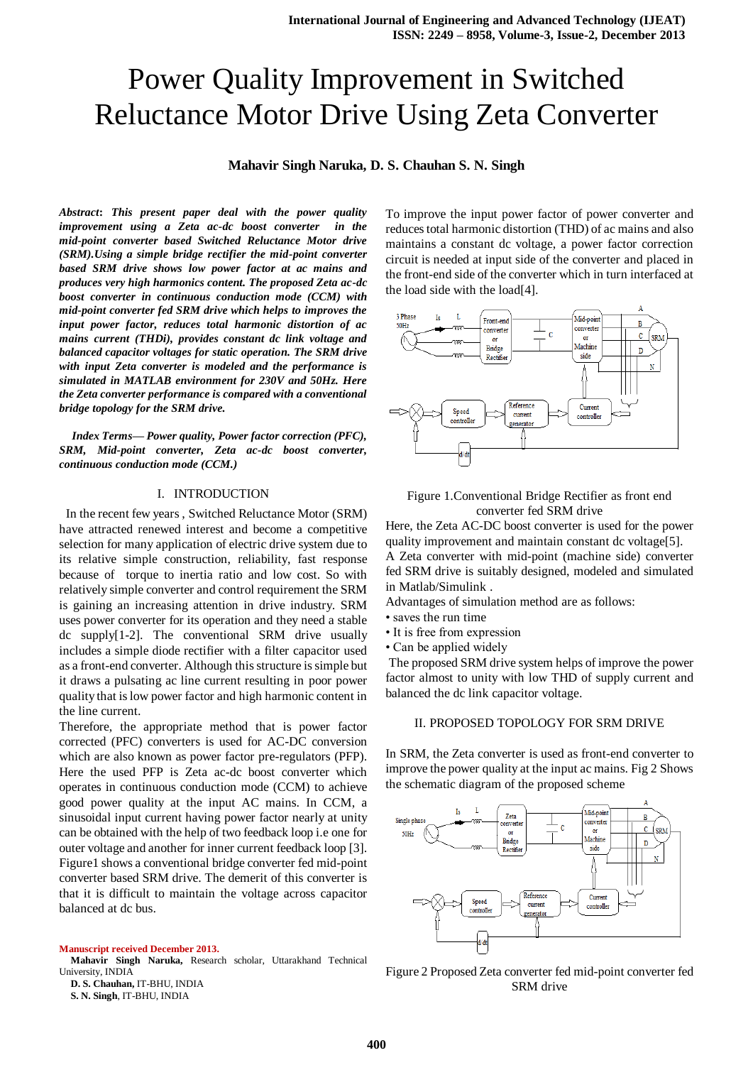# Power Quality Improvement in Switched Reluctance Motor Drive Using Zeta Converter

# **Mahavir Singh Naruka, D. S. Chauhan S. N. Singh**

*Abstract***:** *This present paper deal with the power quality improvement using a Zeta ac-dc boost converter in the mid-point converter based Switched Reluctance Motor drive (SRM).Using a simple bridge rectifier the mid-point converter based SRM drive shows low power factor at ac mains and produces very high harmonics content. The proposed Zeta ac-dc boost converter in continuous conduction mode (CCM) with mid-point converter fed SRM drive which helps to improves the input power factor, reduces total harmonic distortion of ac mains current (THDi), provides constant dc link voltage and balanced capacitor voltages for static operation. The SRM drive with input Zeta converter is modeled and the performance is simulated in MATLAB environment for 230V and 50Hz. Here the Zeta converter performance is compared with a conventional bridge topology for the SRM drive.*

*Index Terms***—** *Power quality, Power factor correction (PFC), SRM, Mid-point converter, Zeta ac-dc boost converter, continuous conduction mode (CCM.)* 

## I. INTRODUCTION

 In the recent few years , Switched Reluctance Motor (SRM) have attracted renewed interest and become a competitive selection for many application of electric drive system due to its relative simple construction, reliability, fast response because of torque to inertia ratio and low cost. So with relatively simple converter and control requirement the SRM is gaining an increasing attention in drive industry. SRM uses power converter for its operation and they need a stable dc supply[1-2]. The conventional SRM drive usually includes a simple diode rectifier with a filter capacitor used as a front-end converter. Although this structure is simple but it draws a pulsating ac line current resulting in poor power quality that is low power factor and high harmonic content in the line current.

Therefore, the appropriate method that is power factor corrected (PFC) converters is used for AC-DC conversion which are also known as power factor pre-regulators (PFP). Here the used PFP is Zeta ac-dc boost converter which operates in continuous conduction mode (CCM) to achieve good power quality at the input AC mains. In CCM, a sinusoidal input current having power factor nearly at unity can be obtained with the help of two feedback loop i.e one for outer voltage and another for inner current feedback loop [3]. Figure1 shows a conventional bridge converter fed mid-point converter based SRM drive. The demerit of this converter is that it is difficult to maintain the voltage across capacitor balanced at dc bus.

#### **Manuscript received December 2013.**

**Mahavir Singh Naruka,** Research scholar, Uttarakhand Technical University, INDIA

**D. S. Chauhan,** IT-BHU, INDIA

To improve the input power factor of power converter and reduces total harmonic distortion (THD) of ac mains and also maintains a constant dc voltage, a power factor correction circuit is needed at input side of the converter and placed in the front-end side of the converter which in turn interfaced at the load side with the load[4].



## Figure 1.Conventional Bridge Rectifier as front end converter fed SRM drive

Here, the Zeta AC-DC boost converter is used for the power quality improvement and maintain constant dc voltage[5]. A Zeta converter with mid-point (machine side) converter fed SRM drive is suitably designed, modeled and simulated in Matlab/Simulink .

Advantages of simulation method are as follows:

- saves the run time
- It is free from expression
- Can be applied widely

The proposed SRM drive system helps of improve the power factor almost to unity with low THD of supply current and balanced the dc link capacitor voltage.

#### II. PROPOSED TOPOLOGY FOR SRM DRIVE

In SRM, the Zeta converter is used as front-end converter to improve the power quality at the input ac mains. Fig 2 Shows the schematic diagram of the proposed scheme





**S. N. Singh**, IT-BHU, INDIA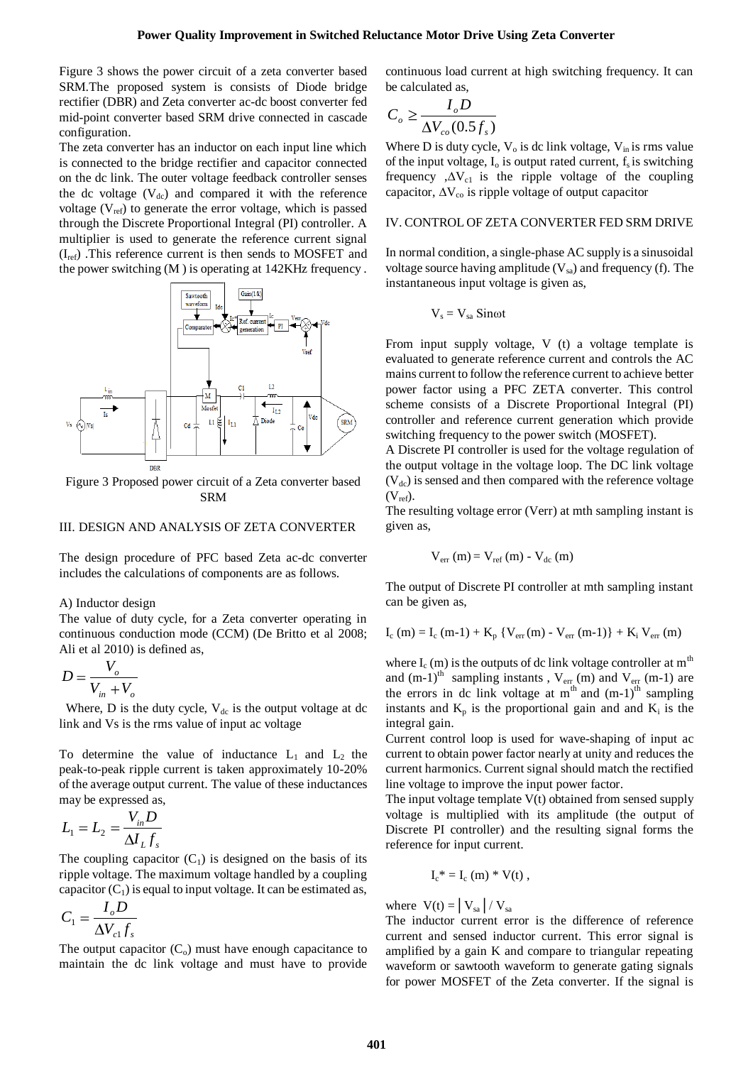Figure 3 shows the power circuit of a zeta converter based SRM.The proposed system is consists of Diode bridge rectifier (DBR) and Zeta converter ac-dc boost converter fed mid-point converter based SRM drive connected in cascade configuration.

The zeta converter has an inductor on each input line which is connected to the bridge rectifier and capacitor connected on the dc link. The outer voltage feedback controller senses the dc voltage  $(V_{dc})$  and compared it with the reference voltage  $(V_{ref})$  to generate the error voltage, which is passed through the Discrete Proportional Integral (PI) controller. A multiplier is used to generate the reference current signal  $(I_{ref})$  . This reference current is then sends to MOSFET and the power switching (M ) is operating at 142KHz frequency .



Figure 3 Proposed power circuit of a Zeta converter based SRM

#### III. DESIGN AND ANALYSIS OF ZETA CONVERTER

The design procedure of PFC based Zeta ac-dc converter includes the calculations of components are as follows.

A) Inductor design

The value of duty cycle, for a Zeta converter operating in continuous conduction mode (CCM) (De Britto et al 2008; Ali et al 2010) is defined as,

$$
D = \frac{V_o}{V_{in} + V_o}
$$

Where, D is the duty cycle,  $V_{dc}$  is the output voltage at dc link and Vs is the rms value of input ac voltage

To determine the value of inductance  $L_1$  and  $L_2$  the peak-to-peak ripple current is taken approximately 10-20% of the average output current. The value of these inductances may be expressed as,

$$
L_1 = L_2 = \frac{V_{in}D}{\Delta I_L f_s}
$$

The coupling capacitor  $(C_1)$  is designed on the basis of its ripple voltage. The maximum voltage handled by a coupling capacitor  $(C_1)$  is equal to input voltage. It can be estimated as,

$$
C_1 = \frac{I_o D}{\Delta V_{c1} f_s}
$$

The output capacitor  $(C_0)$  must have enough capacitance to maintain the dc link voltage and must have to provide

continuous load current at high switching frequency. It can be calculated as,

$$
C_o \ge \frac{I_o D}{\Delta V_{co}(0.5 f_s)}
$$

Where D is duty cycle,  $V_0$  is dc link voltage,  $V_{in}$  is rms value of the input voltage,  $I_0$  is output rated current,  $f_s$  is switching frequency , $\Delta V_{c1}$  is the ripple voltage of the coupling capacitor,  $\Delta V_{\rm co}$  is ripple voltage of output capacitor

### IV. CONTROL OF ZETA CONVERTER FED SRM DRIVE

In normal condition, a single-phase AC supply is a sinusoidal voltage source having amplitude  $(V_{sa})$  and frequency (f). The instantaneous input voltage is given as,

$$
V_s = V_{sa}\;Sin\omega t
$$

From input supply voltage, V (t) a voltage template is evaluated to generate reference current and controls the AC mains current to follow the reference current to achieve better power factor using a PFC ZETA converter. This control scheme consists of a Discrete Proportional Integral (PI) controller and reference current generation which provide switching frequency to the power switch (MOSFET).

A Discrete PI controller is used for the voltage regulation of the output voltage in the voltage loop. The DC link voltage  $(V<sub>dc</sub>)$  is sensed and then compared with the reference voltage  $(V_{ref})$ .

The resulting voltage error (Verr) at mth sampling instant is given as,

$$
V_{err}(m) = V_{ref}(m) - V_{dc}(m)
$$

The output of Discrete PI controller at mth sampling instant can be given as,

 $I_c$  (m) =  $I_c$  (m-1) +  $K_p$  { $V_{err}(m)$  -  $V_{err}(m-1)$ } +  $K_i$   $V_{err}(m)$ 

where  $I_c$  (m) is the outputs of dc link voltage controller at  $m<sup>th</sup>$ and  $(m-1)$ <sup>th</sup> sampling instants,  $V_{err}(m)$  and  $V_{err}(m-1)$  are the errors in dc link voltage at  $m<sup>th</sup>$  and  $(m-1)<sup>th</sup>$  sampling instants and  $K_p$  is the proportional gain and and  $K_i$  is the integral gain.

Current control loop is used for wave-shaping of input ac current to obtain power factor nearly at unity and reduces the current harmonics. Current signal should match the rectified line voltage to improve the input power factor.

The input voltage template V(t) obtained from sensed supply voltage is multiplied with its amplitude (the output of Discrete PI controller) and the resulting signal forms the reference for input current.

$$
I_c^* = I_c(m) * V(t) ,
$$

where  $V(t) = |V_{sa}| / V_{sa}$ 

The inductor current error is the difference of reference current and sensed inductor current. This error signal is amplified by a gain K and compare to triangular repeating waveform or sawtooth waveform to generate gating signals for power MOSFET of the Zeta converter. If the signal is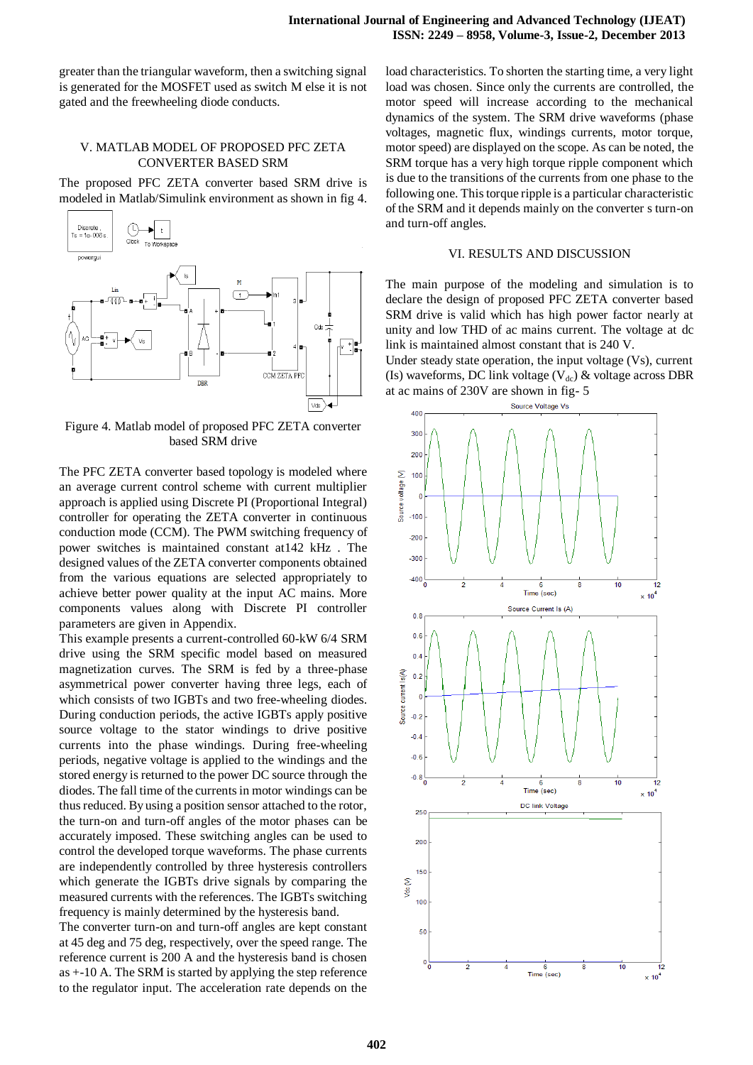greater than the triangular waveform, then a switching signal is generated for the MOSFET used as switch M else it is not gated and the freewheeling diode conducts.

# V. MATLAB MODEL OF PROPOSED PFC ZETA CONVERTER BASED SRM

The proposed PFC ZETA converter based SRM drive is modeled in Matlab/Simulink environment as shown in fig 4.



Figure 4. Matlab model of proposed PFC ZETA converter based SRM drive

The PFC ZETA converter based topology is modeled where an average current control scheme with current multiplier approach is applied using Discrete PI (Proportional Integral) controller for operating the ZETA converter in continuous conduction mode (CCM). The PWM switching frequency of power switches is maintained constant at142 kHz . The designed values of the ZETA converter components obtained from the various equations are selected appropriately to achieve better power quality at the input AC mains. More components values along with Discrete PI controller parameters are given in Appendix.

This example presents a current-controlled 60-kW 6/4 SRM drive using the SRM specific model based on measured magnetization curves. The SRM is fed by a three-phase asymmetrical power converter having three legs, each of which consists of two IGBTs and two free-wheeling diodes. During conduction periods, the active IGBTs apply positive source voltage to the stator windings to drive positive currents into the phase windings. During free-wheeling periods, negative voltage is applied to the windings and the stored energy is returned to the power DC source through the diodes. The fall time of the currents in motor windings can be thus reduced. By using a position sensor attached to the rotor, the turn-on and turn-off angles of the motor phases can be accurately imposed. These switching angles can be used to control the developed torque waveforms. The phase currents are independently controlled by three hysteresis controllers which generate the IGBTs drive signals by comparing the measured currents with the references. The IGBTs switching frequency is mainly determined by the hysteresis band.

The converter turn-on and turn-off angles are kept constant at 45 deg and 75 deg, respectively, over the speed range. The reference current is 200 A and the hysteresis band is chosen as +-10 A. The SRM is started by applying the step reference to the regulator input. The acceleration rate depends on the

load characteristics. To shorten the starting time, a very light load was chosen. Since only the currents are controlled, the motor speed will increase according to the mechanical dynamics of the system. The SRM drive waveforms (phase voltages, magnetic flux, windings currents, motor torque, motor speed) are displayed on the scope. As can be noted, the SRM torque has a very high torque ripple component which is due to the transitions of the currents from one phase to the following one. This torque ripple is a particular characteristic of the SRM and it depends mainly on the converter s turn-on and turn-off angles.

#### VI. RESULTS AND DISCUSSION

The main purpose of the modeling and simulation is to declare the design of proposed PFC ZETA converter based SRM drive is valid which has high power factor nearly at unity and low THD of ac mains current. The voltage at dc link is maintained almost constant that is 240 V.

Under steady state operation, the input voltage (Vs), current (Is) waveforms, DC link voltage ( $V_{dc}$ ) & voltage across DBR at ac mains of 230V are shown in fig- 5

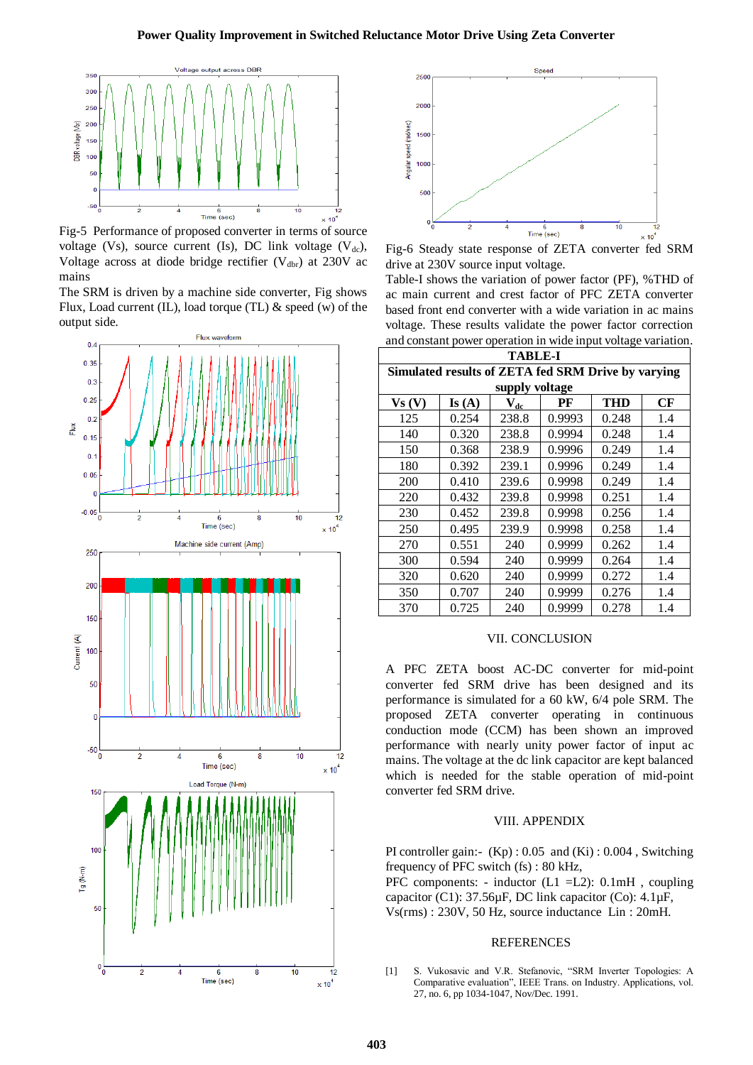

Fig-5 Performance of proposed converter in terms of source voltage (Vs), source current (Is), DC link voltage (V<sub>dc</sub>), Voltage across at diode bridge rectifier  $(V_{\text{dbr}})$  at 230V ac mains

The SRM is driven by a machine side converter, Fig shows Flux, Load current (IL), load torque (TL)  $\&$  speed (w) of the output side.





drive at 230V source input voltage.

Table-I shows the variation of power factor (PF), %THD of ac main current and crest factor of PFC ZETA converter based front end converter with a wide variation in ac mains voltage. These results validate the power factor correction and constant power operation in wide input voltage variation.

| <b>TABLE-I</b>                                     |       |          |        |            |     |
|----------------------------------------------------|-------|----------|--------|------------|-----|
| Simulated results of ZETA fed SRM Drive by varying |       |          |        |            |     |
| supply voltage                                     |       |          |        |            |     |
| Vs(V)                                              | Is(A) | $V_{dc}$ | PF     | <b>THD</b> | CF  |
| 125                                                | 0.254 | 238.8    | 0.9993 | 0.248      | 1.4 |
| 140                                                | 0.320 | 238.8    | 0.9994 | 0.248      | 1.4 |
| 150                                                | 0.368 | 238.9    | 0.9996 | 0.249      | 1.4 |
| 180                                                | 0.392 | 239.1    | 0.9996 | 0.249      | 1.4 |
| 200                                                | 0.410 | 239.6    | 0.9998 | 0.249      | 1.4 |
| 220                                                | 0.432 | 239.8    | 0.9998 | 0.251      | 1.4 |
| 230                                                | 0.452 | 239.8    | 0.9998 | 0.256      | 1.4 |
| 250                                                | 0.495 | 239.9    | 0.9998 | 0.258      | 1.4 |
| 270                                                | 0.551 | 240      | 0.9999 | 0.262      | 1.4 |
| 300                                                | 0.594 | 240      | 0.9999 | 0.264      | 1.4 |
| 320                                                | 0.620 | 240      | 0.9999 | 0.272      | 1.4 |
| 350                                                | 0.707 | 240      | 0.9999 | 0.276      | 1.4 |
| 370                                                | 0.725 | 240      | 0.9999 | 0.278      | 1.4 |

#### VII. CONCLUSION

A PFC ZETA boost AC-DC converter for mid-point converter fed SRM drive has been designed and its performance is simulated for a 60 kW, 6/4 pole SRM. The proposed ZETA converter operating in continuous conduction mode (CCM) has been shown an improved performance with nearly unity power factor of input ac mains. The voltage at the dc link capacitor are kept balanced which is needed for the stable operation of mid-point converter fed SRM drive.

#### VIII. APPENDIX

PI controller gain:-  $(Kp)$ : 0.05 and  $(Ki)$ : 0.004, Switching frequency of PFC switch (fs) : 80 kHz,

PFC components: - inductor (L1 =L2): 0.1mH , coupling capacitor (C1):  $37.56\mu$ F, DC link capacitor (Co):  $4.1\mu$ F, Vs(rms) : 230V, 50 Hz, source inductance Lin : 20mH.

#### REFERENCES

[1] S. Vukosavic and V.R. Stefanovic, "SRM Inverter Topologies: A Comparative evaluation", IEEE Trans. on Industry. Applications, vol. 27, no. 6, pp 1034-1047, Nov/Dec. 1991.